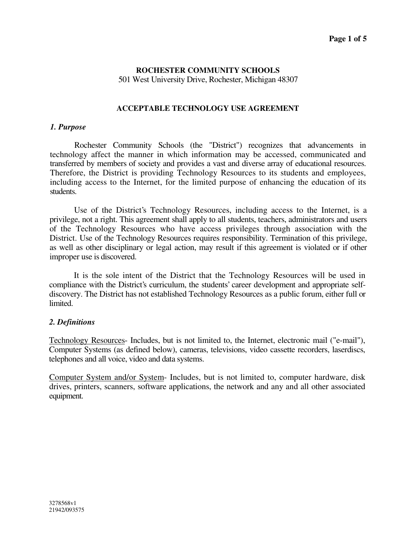# **ROCHESTER COMMUNITY SCHOOLS**

501 West University Drive, Rochester, Michigan 48307

# **ACCEPTABLE TECHNOLOGY USE AGREEMENT**

## *1. Purpose*

Rochester Community Schools (the "District") recognizes that advancements in technology affect the manner in which information may be accessed, communicated and transferred by members of society and provides a vast and diverse array of educational resources. Therefore, the District is providing Technology Resources to its students and employees, including access to the Internet, for the limited purpose of enhancing the education of its students.

Use of the District's Technology Resources, including access to the Internet, is a privilege, not a right. This agreement shall apply to all students, teachers, administrators and users of the Technology Resources who have access privileges through association with the District. Use of the Technology Resources requires responsibility. Termination of this privilege, as well as other disciplinary or legal action, may result if this agreement is violated or if other improper use is discovered.

It is the sole intent of the District that the Technology Resources will be used in compliance with the District's curriculum, the students' career development and appropriate selfdiscovery. The District has not established Technology Resources as a public forum, either full or limited.

# *2. Definitions*

Technology Resources- Includes, but is not limited to, the Internet, electronic mail ("e-mail"), Computer Systems (as defined below), cameras, televisions, video cassette recorders, laserdiscs, telephones and all voice, video and data systems.

Computer System and/or System- Includes, but is not limited to, computer hardware, disk drives, printers, scanners, software applications, the network and any and all other associated equipment.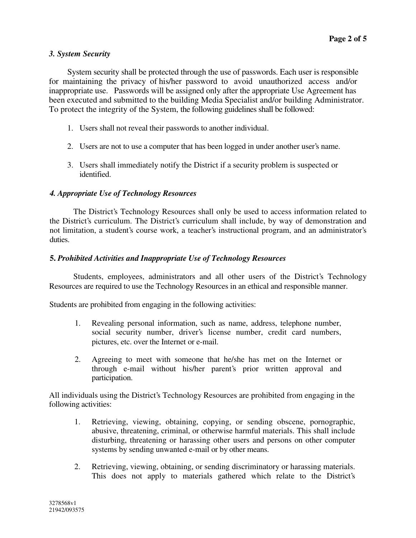# *3. System Security*

System security shall be protected through the use of passwords. Each user is responsible for maintaining the privacy of his/her password to avoid unauthorized access and/or inappropriate use. Passwords will be assigned only after the appropriate Use Agreement has been executed and submitted to the building Media Specialist and/or building Administrator. To protect the integrity of the System, the following guidelines shall be followed:

- 1. Users shall not reveal their passwords to another individual.
- 2. Users are not to use a computer that has been logged in under another user's name.
- 3. Users shall immediately notify the District if a security problem is suspected or identified.

# *4. Appropriate Use of Technology Resources*

The District's Technology Resources shall only be used to access information related to the District's curriculum. The District's curriculum shall include, by way of demonstration and not limitation, a student's course work, a teacher's instructional program, and an administrator's duties.

# **5.** *Prohibited Activities and Inappropriate Use of Technology Resources*

Students, employees, administrators and all other users of the District's Technology Resources are required to use the Technology Resources in an ethical and responsible manner.

Students are prohibited from engaging in the following activities:

- 1. Revealing personal information, such as name, address, telephone number, social security number, driver's license number, credit card numbers, pictures, etc. over the Internet or e-mail.
- 2. Agreeing to meet with someone that he/she has met on the Internet or through e-mail without his/her parent's prior written approval and participation.

All individuals using the District's Technology Resources are prohibited from engaging in the following activities:

- 1. Retrieving, viewing, obtaining, copying, or sending obscene, pornographic, abusive, threatening, criminal, or otherwise harmful materials. This shall include disturbing, threatening or harassing other users and persons on other computer systems by sending unwanted e-mail or by other means.
- 2. Retrieving, viewing, obtaining, or sending discriminatory or harassing materials. This does not apply to materials gathered which relate to the District's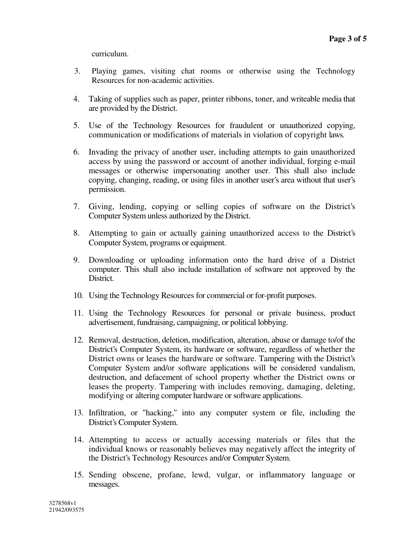curriculum.

- 3. Playing games, visiting chat rooms or otherwise using the Technology Resources for non-academic activities.
- 4. Taking of supplies such as paper, printer ribbons, toner, and writeable media that are provided by the District.
- 5. Use of the Technology Resources for fraudulent or unauthorized copying, communication or modifications of materials in violation of copyright laws.
- 6. Invading the privacy of another user, including attempts to gain unauthorized access by using the password or account of another individual, forging e-mail messages or otherwise impersonating another user. This shall also include copying, changing, reading, or using files in another user's area without that user's permission.
- 7. Giving, lending, copying or selling copies of software on the District's Computer System unless authorized by the District.
- 8. Attempting to gain or actually gaining unauthorized access to the District's Computer System, programs or equipment.
- 9. Downloading or uploading information onto the hard drive of a District computer. This shall also include installation of software not approved by the District.
- 10. Using the Technology Resources for commercial or for-profit purposes.
- 11. Using the Technology Resources for personal or private business, product advertisement, fundraising, campaigning, or political lobbying.
- 12. Removal, destruction, deletion, modification, alteration, abuse or damage to/of the District's Computer System, its hardware or software, regardless of whether the District owns or leases the hardware or software. Tampering with the District's Computer System and/or software applications will be considered vandalism, destruction, and defacement of school property whether the District owns or leases the property. Tampering with includes removing, damaging, deleting, modifying or altering computer hardware or software applications.
- 13. Infiltration, or "hacking," into any computer system or file, including the District's Computer System.
- 14. Attempting to access or actually accessing materials or files that the individual knows or reasonably believes may negatively affect the integrity of the District's Technology Resources and/or Computer System.
- 15. Sending obscene, profane, lewd, vulgar, or inflammatory language or messages.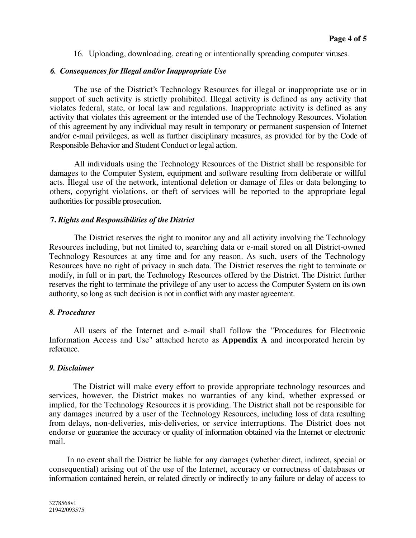16. Uploading, downloading, creating or intentionally spreading computer viruses.

# *6. Consequences for Illegal and/or Inappropriate Use*

The use of the District's Technology Resources for illegal or inappropriate use or in support of such activity is strictly prohibited. Illegal activity is defined as any activity that violates federal, state, or local law and regulations. Inappropriate activity is defined as any activity that violates this agreement or the intended use of the Technology Resources. Violation of this agreement by any individual may result in temporary or permanent suspension of Internet and/or e-mail privileges, as well as further disciplinary measures, as provided for by the Code of Responsible Behavior and Student Conduct or legal action.

All individuals using the Technology Resources of the District shall be responsible for damages to the Computer System, equipment and software resulting from deliberate or willful acts. Illegal use of the network, intentional deletion or damage of files or data belonging to others, copyright violations, or theft of services will be reported to the appropriate legal authorities for possible prosecution.

# **7.** *Rights and Responsibilities of the District*

The District reserves the right to monitor any and all activity involving the Technology Resources including, but not limited to, searching data or e-mail stored on all District-owned Technology Resources at any time and for any reason. As such, users of the Technology Resources have no right of privacy in such data. The District reserves the right to terminate or modify, in full or in part, the Technology Resources offered by the District. The District further reserves the right to terminate the privilege of any user to access the Computer System on its own authority, so long as such decision is not in conflict with any master agreement.

# *8. Procedures*

All users of the Internet and e-mail shall follow the "Procedures for Electronic Information Access and Use" attached hereto as **Appendix A** and incorporated herein by reference.

# *9. Disclaimer*

The District will make every effort to provide appropriate technology resources and services, however, the District makes no warranties of any kind, whether expressed or implied, for the Technology Resources it is providing. The District shall not be responsible for any damages incurred by a user of the Technology Resources, including loss of data resulting from delays, non-deliveries, mis-deliveries, or service interruptions. The District does not endorse or guarantee the accuracy or quality of information obtained via the Internet or electronic mail.

In no event shall the District be liable for any damages (whether direct, indirect, special or consequential) arising out of the use of the Internet, accuracy or correctness of databases or information contained herein, or related directly or indirectly to any failure or delay of access to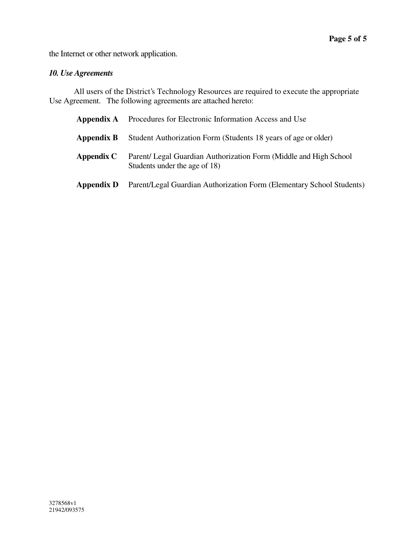the Internet or other network application.

# *10. Use Agreements*

All users of the District's Technology Resources are required to execute the appropriate Use Agreement. The following agreements are attached hereto:

| Appendix A | Procedures for Electronic Information Access and Use                                                |
|------------|-----------------------------------------------------------------------------------------------------|
| Appendix B | Student Authorization Form (Students 18 years of age or older)                                      |
| Appendix C | Parent/ Legal Guardian Authorization Form (Middle and High School)<br>Students under the age of 18) |
| Appendix D | Parent/Legal Guardian Authorization Form (Elementary School Students)                               |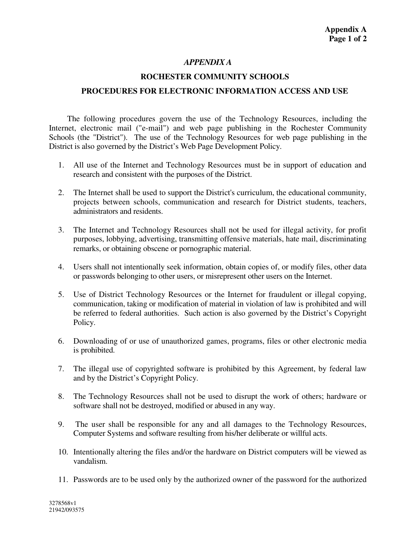# *APPENDIX A*

# **ROCHESTER COMMUNITY SCHOOLS PROCEDURES FOR ELECTRONIC INFORMATION ACCESS AND USE**

The following procedures govern the use of the Technology Resources, including the Internet, electronic mail ("e-mail") and web page publishing in the Rochester Community Schools (the "District"). The use of the Technology Resources for web page publishing in the District is also governed by the District's Web Page Development Policy.

- 1. All use of the Internet and Technology Resources must be in support of education and research and consistent with the purposes of the District.
- 2. The Internet shall be used to support the District's curriculum, the educational community, projects between schools, communication and research for District students, teachers, administrators and residents.
- 3. The Internet and Technology Resources shall not be used for illegal activity, for profit purposes, lobbying, advertising, transmitting offensive materials, hate mail, discriminating remarks, or obtaining obscene or pornographic material.
- 4. Users shall not intentionally seek information, obtain copies of, or modify files, other data or passwords belonging to other users, or misrepresent other users on the Internet.
- 5. Use of District Technology Resources or the Internet for fraudulent or illegal copying, communication, taking or modification of material in violation of law is prohibited and will be referred to federal authorities. Such action is also governed by the District's Copyright Policy.
- 6. Downloading of or use of unauthorized games, programs, files or other electronic media is prohibited.
- 7. The illegal use of copyrighted software is prohibited by this Agreement, by federal law and by the District's Copyright Policy.
- 8. The Technology Resources shall not be used to disrupt the work of others; hardware or software shall not be destroyed, modified or abused in any way.
- 9. The user shall be responsible for any and all damages to the Technology Resources, Computer Systems and software resulting from his/her deliberate or willful acts.
- 10. Intentionally altering the files and/or the hardware on District computers will be viewed as vandalism.
- 11. Passwords are to be used only by the authorized owner of the password for the authorized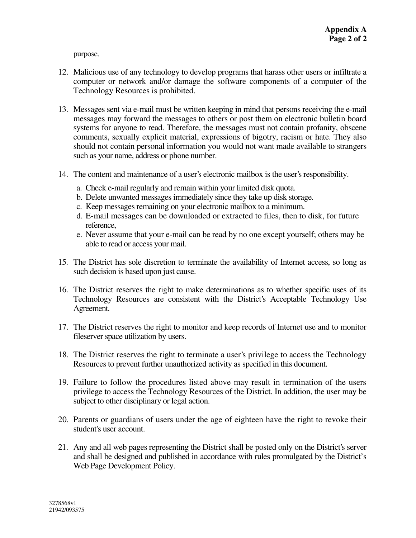purpose.

- 12. Malicious use of any technology to develop programs that harass other users or infiltrate a computer or network and/or damage the software components of a computer of the Technology Resources is prohibited.
- 13. Messages sent via e-mail must be written keeping in mind that persons receiving the e-mail messages may forward the messages to others or post them on electronic bulletin board systems for anyone to read. Therefore, the messages must not contain profanity, obscene comments, sexually explicit material, expressions of bigotry, racism or hate. They also should not contain personal information you would not want made available to strangers such as your name, address or phone number.
- 14. The content and maintenance of a user's electronic mailbox is the user's responsibility.
	- a. Check e-mail regularly and remain within your limited disk quota.
	- b. Delete unwanted messagesimmediately since they take up disk storage.
	- c. Keep messages remaining on your electronic mailbox to a minimum.
	- d. E-mail messages can be downloaded or extracted to files, then to disk, for future reference,
	- e. Never assume that your e-mail can be read by no one except yourself; others may be able to read or access your mail.
- 15. The District has sole discretion to terminate the availability of Internet access, so long as such decision is based upon just cause.
- 16. The District reserves the right to make determinations as to whether specific uses of its Technology Resources are consistent with the District's Acceptable Technology Use Agreement.
- 17. The District reserves the right to monitor and keep records of Internet use and to monitor fileserver space utilization by users.
- 18. The District reserves the right to terminate a user's privilege to access the Technology Resources to prevent further unauthorized activity as specified in this document.
- 19. Failure to follow the procedures listed above may result in termination of the users privilege to access the Technology Resources of the District. In addition, the user may be subject to other disciplinary or legal action.
- 20. Parents or guardians of users under the age of eighteen have the right to revoke their student's user account.
- 21. Any and all web pages representing the District shall be posted only on the District's server and shall be designed and published in accordance with rules promulgated by the District's Web Page Development Policy.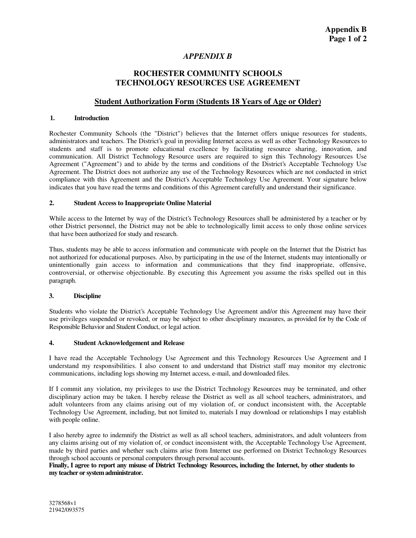## *APPENDIX B*

## **ROCHESTER COMMUNITY SCHOOLS TECHNOLOGY RESOURCES USE AGREEMENT**

## **Student Authorization Form (Students 18 Years of Age or Older)**

#### **1. Introduction**

Rochester Community Schools (the "District") believes that the Internet offers unique resources for students, administrators and teachers. The District's goal in providing Internet access as well as other Technology Resources to students and staff is to promote educational excellence by facilitating resource sharing, innovation, and communication. All District Technology Resource users are required to sign this Technology Resources Use Agreement ("Agreement") and to abide by the terms and conditions of the District's Acceptable Technology Use Agreement. The District does not authorize any use of the Technology Resources which are not conducted in strict compliance with this Agreement and the District's Acceptable Technology Use Agreement. Your signature below indicates that you have read the terms and conditions of this Agreement carefully and understand their significance.

#### **2. Student Access to Inappropriate Online Material**

While access to the Internet by way of the District's Technology Resources shall be administered by a teacher or by other District personnel, the District may not be able to technologically limit access to only those online services that have been authorized for study and research.

Thus, students may be able to access information and communicate with people on the Internet that the District has not authorized for educational purposes. Also, by participating in the use of the Internet, students may intentionally or unintentionally gain access to information and communications that they find inappropriate, offensive, controversial, or otherwise objectionable. By executing this Agreement you assume the risks spelled out in this paragraph.

#### **3. Discipline**

Students who violate the District's Acceptable Technology Use Agreement and/or this Agreement may have their use privileges suspended or revoked, or may be subject to other disciplinary measures, as provided for by the Code of Responsible Behavior and Student Conduct, or legal action.

#### **4. Student Acknowledgement and Release**

I have read the Acceptable Technology Use Agreement and this Technology Resources Use Agreement and I understand my responsibilities. I also consent to and understand that District staff may monitor my electronic communications, including logs showing my Internet access, e-mail, and downloaded files.

If I commit any violation, my privileges to use the District Technology Resources may be terminated, and other disciplinary action may be taken. I hereby release the District as well as all school teachers, administrators, and adult volunteers from any claims arising out of my violation of, or conduct inconsistent with, the Acceptable Technology Use Agreement, including, but not limited to, materials I may download or relationships I may establish with people online.

I also hereby agree to indemnify the District as well as all school teachers, administrators, and adult volunteers from any claims arising out of my violation of, or conduct inconsistent with, the Acceptable Technology Use Agreement, made by third parties and whether such claims arise from Internet use performed on District Technology Resources through school accounts or personal computers through personal accounts.

#### Finally, I agree to report any misuse of District Technology Resources, including the Internet, by other students to **my teacher or systemadministrator.**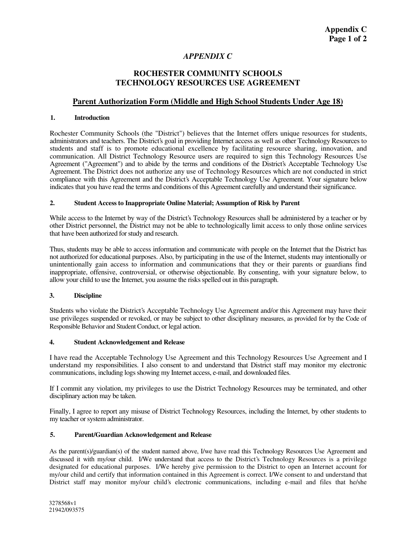# *APPENDIX C*

## **ROCHESTER COMMUNITY SCHOOLS TECHNOLOGY RESOURCES USE AGREEMENT**

## **Parent Authorization Form (Middle and High School Students Under Age 18)**

### **1. Introduction**

Rochester Community Schools (the "District") believes that the Internet offers unique resources for students, administrators and teachers. The District's goal in providing Internet access as well as other Technology Resources to students and staff is to promote educational excellence by facilitating resource sharing, innovation, and communication. All District Technology Resource users are required to sign this Technology Resources Use Agreement ("Agreement") and to abide by the terms and conditions of the District's Acceptable Technology Use Agreement. The District does not authorize any use of Technology Resources which are not conducted in strict compliance with this Agreement and the District's Acceptable Technology Use Agreement. Your signature below indicates that you have read the terms and conditions of this Agreement carefully and understand their significance.

#### **2. Student Access to Inappropriate Online Material; Assumption of Risk by Parent**

While access to the Internet by way of the District's Technology Resources shall be administered by a teacher or by other District personnel, the District may not be able to technologically limit access to only those online services that have been authorized for study and research.

Thus, students may be able to access information and communicate with people on the Internet that the District has not authorized for educational purposes. Also, by participating in the use of the Internet, students may intentionally or unintentionally gain access to information and communications that they or their parents or guardians find inappropriate, offensive, controversial, or otherwise objectionable. By consenting, with your signature below, to allow your child to use the Internet, you assume the risks spelled out in this paragraph.

## **3. Discipline**

Students who violate the District's Acceptable Technology Use Agreement and/or this Agreement may have their use privileges suspended or revoked, or may be subject to other disciplinary measures, as provided for by the Code of Responsible Behavior and Student Conduct, or legal action.

## **4. Student Acknowledgement and Release**

I have read the Acceptable Technology Use Agreement and this Technology Resources Use Agreement and I understand my responsibilities. I also consent to and understand that District staff may monitor my electronic communications, including logs showing my Internet access, e-mail, and downloaded files.

If I commit any violation, my privileges to use the District Technology Resources may be terminated, and other disciplinary action may be taken.

Finally, I agree to report any misuse of District Technology Resources, including the Internet, by other students to my teacher or system administrator.

#### **5. Parent/Guardian Acknowledgement and Release**

As the parent(s)/guardian(s) of the student named above, I/we have read this Technology Resources Use Agreement and discussed it with my/our child. I/We understand that access to the District's Technology Resources is a privilege designated for educational purposes. I/We hereby give permission to the District to open an Internet account for my/our child and certify that information contained in this Agreement is correct. I/We consent to and understand that District staff may monitor my/our child's electronic communications, including e-mail and files that he/she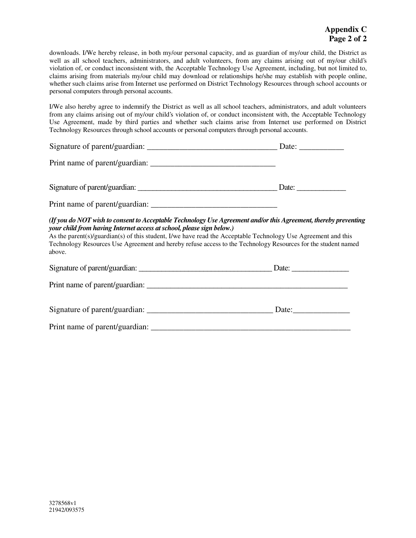downloads. I/We hereby release, in both my/our personal capacity, and as guardian of my/our child, the District as well as all school teachers, administrators, and adult volunteers, from any claims arising out of my/our child's violation of, or conduct inconsistent with, the Acceptable Technology Use Agreement, including, but not limited to, claims arising from materials my/our child may download or relationships he/she may establish with people online, whether such claims arise from Internet use performed on District Technology Resources through school accounts or personal computers through personal accounts.

I/We also hereby agree to indemnify the District as well as all school teachers, administrators, and adult volunteers from any claims arising out of my/our child's violation of, or conduct inconsistent with, the Acceptable Technology Use Agreement, made by third parties and whether such claims arise from Internet use performed on District Technology Resources through school accounts or personal computers through personal accounts.

| Signature of parent/guardian:  | Date: |
|--------------------------------|-------|
| Print name of parent/guardian: |       |
| Signature of parent/guardian:  | Date: |

Print name of parent/guardian: *\_\_\_\_\_\_\_\_\_\_\_\_\_\_\_\_\_\_\_\_\_\_\_\_\_\_\_\_\_\_\_*

## *(If you do NOT wish to consent to Acceptable Technology Use Agreement and/orthis Agreement, thereby preventing your child from having Internet access atschool, please sign below.)*

As the parent(s)/guardian(s) of this student, I/we have read the Acceptable Technology Use Agreement and this Technology Resources Use Agreement and hereby refuse access to the Technology Resources for the student named above.

| Signature of parent/guardian:  | Date: $\frac{1}{\sqrt{1-\frac{1}{2}}\cdot\frac{1}{2}}$                                                                                                                                                                                                                                                                                                                                                                                            |
|--------------------------------|---------------------------------------------------------------------------------------------------------------------------------------------------------------------------------------------------------------------------------------------------------------------------------------------------------------------------------------------------------------------------------------------------------------------------------------------------|
|                                |                                                                                                                                                                                                                                                                                                                                                                                                                                                   |
| Signature of parent/guardian:  | Date: $\frac{1}{\sqrt{1-\frac{1}{2}} \cdot \frac{1}{\sqrt{1-\frac{1}{2}} \cdot \frac{1}{\sqrt{1-\frac{1}{2}} \cdot \frac{1}{\sqrt{1-\frac{1}{2}} \cdot \frac{1}{\sqrt{1-\frac{1}{2}} \cdot \frac{1}{\sqrt{1-\frac{1}{2}} \cdot \frac{1}{\sqrt{1-\frac{1}{2}} \cdot \frac{1}{\sqrt{1-\frac{1}{2}} \cdot \frac{1}{\sqrt{1-\frac{1}{2}} \cdot \frac{1}{\sqrt{1-\frac{1}{2}} \cdot \frac{1}{\sqrt{1-\frac{1}{2}} \cdot \frac{1}{\sqrt{1-\frac{1}{2}}$ |
| Print name of parent/guardian: |                                                                                                                                                                                                                                                                                                                                                                                                                                                   |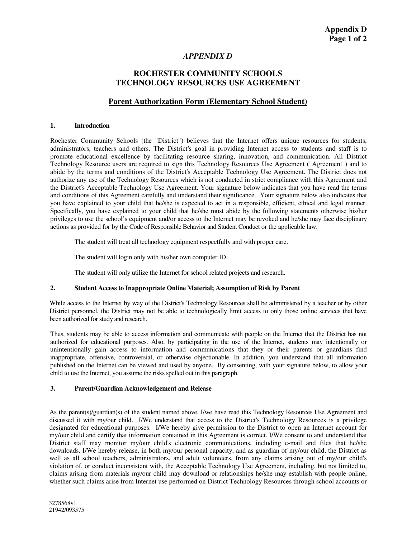## *APPENDIX D*

## **ROCHESTER COMMUNITY SCHOOLS TECHNOLOGY RESOURCES USE AGREEMENT**

## **Parent Authorization Form (Elementary School Student)**

#### **1. Introduction**

Rochester Community Schools (the "District") believes that the Internet offers unique resources for students, administrators, teachers and others. The District's goal in providing Internet access to students and staff is to promote educational excellence by facilitating resource sharing, innovation, and communication. All District Technology Resource users are required to sign this Technology Resources Use Agreement ("Agreement") and to abide by the terms and conditions of the District's Acceptable Technology Use Agreement. The District does not authorize any use of the Technology Resources which is not conducted in strict compliance with this Agreement and the District's Acceptable Technology Use Agreement. Your signature below indicates that you have read the terms and conditions of this Agreement carefully and understand their significance. Your signature below also indicates that you have explained to your child that he/she is expected to act in a responsible, efficient, ethical and legal manner. Specifically, you have explained to your child that he/she must abide by the following statements otherwise his/her privileges to use the school's equipment and/or access to the Internet may be revoked and he/she may face disciplinary actions as provided for by the Code of Responsible Behavior and Student Conduct or the applicable law.

The student will treat all technology equipment respectfully and with proper care.

The student will login only with his/her own computer ID.

The student will only utilize the Internet for school related projects and research.

#### **2. Student Access to Inappropriate Online Material; Assumption of Risk by Parent**

While access to the Internet by way of the District's Technology Resources shall be administered by a teacher or by other District personnel, the District may not be able to technologically limit access to only those online services that have been authorized for study and research.

Thus, students may be able to access information and communicate with people on the Internet that the District has not authorized for educational purposes. Also, by participating in the use of the Internet, students may intentionally or unintentionally gain access to information and communications that they or their parents or guardians find inappropriate, offensive, controversial, or otherwise objectionable. In addition, you understand that all information published on the Internet can be viewed and used by anyone. By consenting, with your signature below, to allow your child to use the Internet, you assume the risks spelled out in this paragraph.

## **3. Parent/Guardian Acknowledgement and Release**

As the parent(s)/guardian(s) of the student named above, I/we have read this Technology Resources Use Agreement and discussed it with my/our child. I/We understand that access to the District's Technology Resources is a privilege designated for educational purposes. I/We hereby give permission to the District to open an Internet account for my/our child and certify that information contained in this Agreement is correct. I/We consent to and understand that District staff may monitor my/our child's electronic communications, including e-mail and files that he/she downloads. I/We hereby release, in both my/our personal capacity, and as guardian of my/our child, the District as well as all school teachers, administrators, and adult volunteers, from any claims arising out of my/our child's violation of, or conduct inconsistent with, the Acceptable Technology Use Agreement, including, but not limited to, claims arising from materials my/our child may download or relationships he/she may establish with people online, whether such claims arise from Internet use performed on District Technology Resources through school accounts or